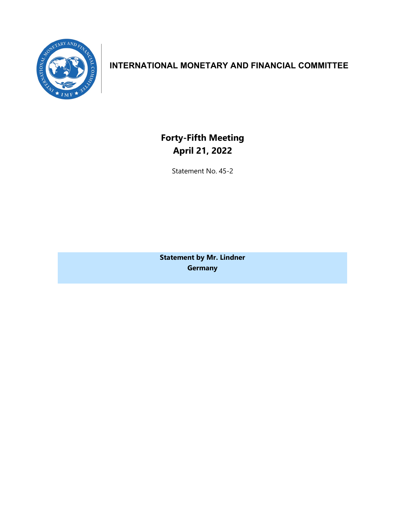

# **INTERNATIONAL MONETARY AND FINANCIAL COMMITTEE**

**Forty-Fifth Meeting April 21, 2022**

Statement No. 45-2

**Statement by Mr. Lindner Germany**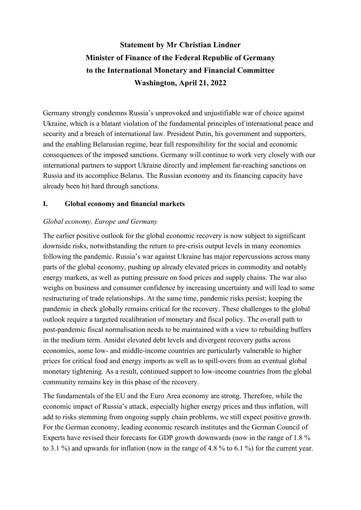# **Statement by Mr Christian Lindner Minister of Finance of the Federal Republic of Germany to the International Monetary and Financial Committee Washington, April 21, 2022**

Germany strongly condemns Russia's unprovoked and unjustifiable war of choice against Ukraine, which is a blatant violation of the fundamental principles of international peace and security and a breach of international law. President Putin, his government and supporters, and the enabling Belarusian regime, bear full responsibility for the social and economic consequences of the imposed sanctions. Germany will continue to work very closely with our international partners to support Ukraine directly and implement far-reaching sanctions on Russia and its accomplice Belarus. The Russian economy and its financing capacity have already been hit hard through sanctions.

# **I. Global economy and financial markets**

# *Global economy, Europe and Germany*

The earlier positive outlook for the global economic recovery is now subject to significant downside risks, notwithstanding the return to pre-crisis output levels in many economies following the pandemic. Russia's war against Ukraine has major repercussions across many parts of the global economy, pushing up already elevated prices in commodity and notably energy markets, as well as putting pressure on food prices and supply chains. The war also weighs on business and consumer confidence by increasing uncertainty and will lead to some restructuring of trade relationships. At the same time, pandemic risks persist; keeping the pandemic in check globally remains critical for the recovery. These challenges to the global outlook require a targeted recalibration of monetary and fiscal policy. The overall path to post-pandemic fiscal normalisation needs to be maintained with a view to rebuilding buffers in the medium term. Amidst elevated debt levels and divergent recovery paths across economies, some low- and middle-income countries are particularly vulnerable to higher prices for critical food and energy imports as well as to spill-overs from an eventual global monetary tightening. As a result, continued support to low-income countries from the global community remains key in this phase of the recovery.

The fundamentals of the EU and the Euro Area economy are strong. Therefore, while the economic impact of Russia's attack, especially higher energy prices and thus inflation, will add to risks stemming from ongoing supply chain problems, we still expect positive growth. For the German economy, leading economic research institutes and the German Council of Experts have revised their forecasts for GDP growth downwards (now in the range of 1.8 % to 3.1 %) and upwards for inflation (now in the range of 4.8 % to 6.1 %) for the current year.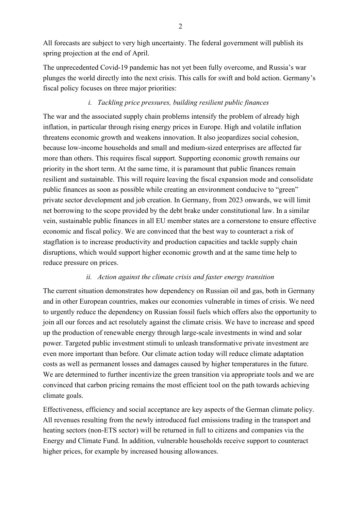All forecasts are subject to very high uncertainty. The federal government will publish its spring projection at the end of April.

The unprecedented Covid-19 pandemic has not yet been fully overcome, and Russia's war plunges the world directly into the next crisis. This calls for swift and bold action. Germany's fiscal policy focuses on three major priorities:

### *i. Tackling price pressures, building resilient public finances*

The war and the associated supply chain problems intensify the problem of already high inflation, in particular through rising energy prices in Europe. High and volatile inflation threatens economic growth and weakens innovation. It also jeopardizes social cohesion, because low-income households and small and medium-sized enterprises are affected far more than others. This requires fiscal support. Supporting economic growth remains our priority in the short term. At the same time, it is paramount that public finances remain resilient and sustainable. This will require leaving the fiscal expansion mode and consolidate public finances as soon as possible while creating an environment conducive to "green" private sector development and job creation. In Germany, from 2023 onwards, we will limit net borrowing to the scope provided by the debt brake under constitutional law. In a similar vein, sustainable public finances in all EU member states are a cornerstone to ensure effective economic and fiscal policy. We are convinced that the best way to counteract a risk of stagflation is to increase productivity and production capacities and tackle supply chain disruptions, which would support higher economic growth and at the same time help to reduce pressure on prices.

#### *ii. Action against the climate crisis and faster energy transition*

The current situation demonstrates how dependency on Russian oil and gas, both in Germany and in other European countries, makes our economies vulnerable in times of crisis. We need to urgently reduce the dependency on Russian fossil fuels which offers also the opportunity to join all our forces and act resolutely against the climate crisis. We have to increase and speed up the production of renewable energy through large-scale investments in wind and solar power. Targeted public investment stimuli to unleash transformative private investment are even more important than before. Our climate action today will reduce climate adaptation costs as well as permanent losses and damages caused by higher temperatures in the future. We are determined to further incentivize the green transition via appropriate tools and we are convinced that carbon pricing remains the most efficient tool on the path towards achieving climate goals.

Effectiveness, efficiency and social acceptance are key aspects of the German climate policy. All revenues resulting from the newly introduced fuel emissions trading in the transport and heating sectors (non-ETS sector) will be returned in full to citizens and companies via the Energy and Climate Fund. In addition, vulnerable households receive support to counteract higher prices, for example by increased housing allowances.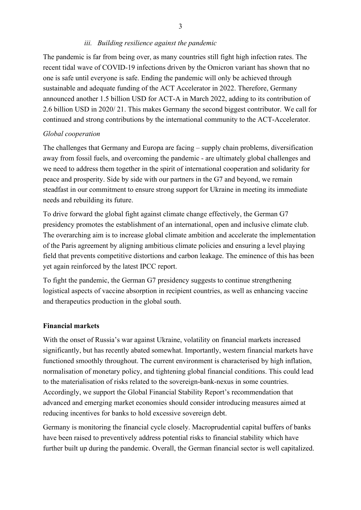#### *iii. Building resilience against the pandemic*

The pandemic is far from being over, as many countries still fight high infection rates. The recent tidal wave of COVID-19 infections driven by the Omicron variant has shown that no one is safe until everyone is safe. Ending the pandemic will only be achieved through sustainable and adequate funding of the ACT Accelerator in 2022. Therefore, Germany announced another 1.5 billion USD for ACT-A in March 2022, adding to its contribution of 2.6 billion USD in 2020/ 21. This makes Germany the second biggest contributor. We call for continued and strong contributions by the international community to the ACT-Accelerator.

#### *Global cooperation*

The challenges that Germany and Europa are facing – supply chain problems, diversification away from fossil fuels, and overcoming the pandemic - are ultimately global challenges and we need to address them together in the spirit of international cooperation and solidarity for peace and prosperity. Side by side with our partners in the G7 and beyond, we remain steadfast in our commitment to ensure strong support for Ukraine in meeting its immediate needs and rebuilding its future.

To drive forward the global fight against climate change effectively, the German G7 presidency promotes the establishment of an international, open and inclusive climate club. The overarching aim is to increase global climate ambition and accelerate the implementation of the Paris agreement by aligning ambitious climate policies and ensuring a level playing field that prevents competitive distortions and carbon leakage. The eminence of this has been yet again reinforced by the latest IPCC report.

To fight the pandemic, the German G7 presidency suggests to continue strengthening logistical aspects of vaccine absorption in recipient countries, as well as enhancing vaccine and therapeutics production in the global south.

#### **Financial markets**

With the onset of Russia's war against Ukraine, volatility on financial markets increased significantly, but has recently abated somewhat. Importantly, western financial markets have functioned smoothly throughout. The current environment is characterised by high inflation, normalisation of monetary policy, and tightening global financial conditions. This could lead to the materialisation of risks related to the sovereign-bank-nexus in some countries. Accordingly, we support the Global Financial Stability Report's recommendation that advanced and emerging market economies should consider introducing measures aimed at reducing incentives for banks to hold excessive sovereign debt.

Germany is monitoring the financial cycle closely. Macroprudential capital buffers of banks have been raised to preventively address potential risks to financial stability which have further built up during the pandemic. Overall, the German financial sector is well capitalized.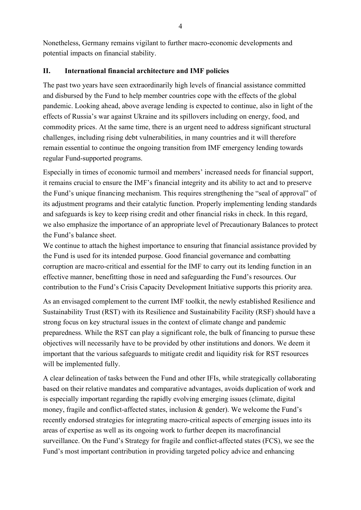Nonetheless, Germany remains vigilant to further macro-economic developments and potential impacts on financial stability.

#### **II. International financial architecture and IMF policies**

The past two years have seen extraordinarily high levels of financial assistance committed and disbursed by the Fund to help member countries cope with the effects of the global pandemic. Looking ahead, above average lending is expected to continue, also in light of the effects of Russia's war against Ukraine and its spillovers including on energy, food, and commodity prices. At the same time, there is an urgent need to address significant structural challenges, including rising debt vulnerabilities, in many countries and it will therefore remain essential to continue the ongoing transition from IMF emergency lending towards regular Fund-supported programs.

Especially in times of economic turmoil and members' increased needs for financial support, it remains crucial to ensure the IMF's financial integrity and its ability to act and to preserve the Fund's unique financing mechanism. This requires strengthening the "seal of approval" of its adjustment programs and their catalytic function. Properly implementing lending standards and safeguards is key to keep rising credit and other financial risks in check. In this regard, we also emphasize the importance of an appropriate level of Precautionary Balances to protect the Fund's balance sheet.

We continue to attach the highest importance to ensuring that financial assistance provided by the Fund is used for its intended purpose. Good financial governance and combatting corruption are macro-critical and essential for the IMF to carry out its lending function in an effective manner, benefitting those in need and safeguarding the Fund's resources. Our contribution to the Fund's Crisis Capacity Development Initiative supports this priority area.

As an envisaged complement to the current IMF toolkit, the newly established Resilience and Sustainability Trust (RST) with its Resilience and Sustainability Facility (RSF) should have a strong focus on key structural issues in the context of climate change and pandemic preparedness. While the RST can play a significant role, the bulk of financing to pursue these objectives will necessarily have to be provided by other institutions and donors. We deem it important that the various safeguards to mitigate credit and liquidity risk for RST resources will be implemented fully.

A clear delineation of tasks between the Fund and other IFIs, while strategically collaborating based on their relative mandates and comparative advantages, avoids duplication of work and is especially important regarding the rapidly evolving emerging issues (climate, digital money, fragile and conflict-affected states, inclusion & gender). We welcome the Fund's recently endorsed strategies for integrating macro-critical aspects of emerging issues into its areas of expertise as well as its ongoing work to further deepen its macrofinancial surveillance. On the Fund's Strategy for fragile and conflict-affected states (FCS), we see the Fund's most important contribution in providing targeted policy advice and enhancing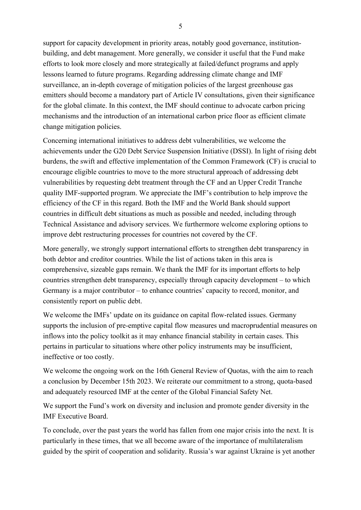support for capacity development in priority areas, notably good governance, institutionbuilding, and debt management. More generally, we consider it useful that the Fund make efforts to look more closely and more strategically at failed/defunct programs and apply lessons learned to future programs. Regarding addressing climate change and IMF surveillance, an in-depth coverage of mitigation policies of the largest greenhouse gas emitters should become a mandatory part of Article IV consultations, given their significance for the global climate. In this context, the IMF should continue to advocate carbon pricing mechanisms and the introduction of an international carbon price floor as efficient climate change mitigation policies.

Concerning international initiatives to address debt vulnerabilities, we welcome the achievements under the G20 Debt Service Suspension Initiative (DSSI). In light of rising debt burdens, the swift and effective implementation of the Common Framework (CF) is crucial to encourage eligible countries to move to the more structural approach of addressing debt vulnerabilities by requesting debt treatment through the CF and an Upper Credit Tranche quality IMF-supported program. We appreciate the IMF's contribution to help improve the efficiency of the CF in this regard. Both the IMF and the World Bank should support countries in difficult debt situations as much as possible and needed, including through Technical Assistance and advisory services. We furthermore welcome exploring options to improve debt restructuring processes for countries not covered by the CF.

More generally, we strongly support international efforts to strengthen debt transparency in both debtor and creditor countries. While the list of actions taken in this area is comprehensive, sizeable gaps remain. We thank the IMF for its important efforts to help countries strengthen debt transparency, especially through capacity development – to which Germany is a major contributor – to enhance countries' capacity to record, monitor, and consistently report on public debt.

We welcome the IMFs' update on its guidance on capital flow-related issues. Germany supports the inclusion of pre-emptive capital flow measures und macroprudential measures on inflows into the policy toolkit as it may enhance financial stability in certain cases. This pertains in particular to situations where other policy instruments may be insufficient, ineffective or too costly.

We welcome the ongoing work on the 16th General Review of Quotas, with the aim to reach a conclusion by December 15th 2023. We reiterate our commitment to a strong, quota-based and adequately resourced IMF at the center of the Global Financial Safety Net.

We support the Fund's work on diversity and inclusion and promote gender diversity in the IMF Executive Board.

To conclude, over the past years the world has fallen from one major crisis into the next. It is particularly in these times, that we all become aware of the importance of multilateralism guided by the spirit of cooperation and solidarity. Russia's war against Ukraine is yet another